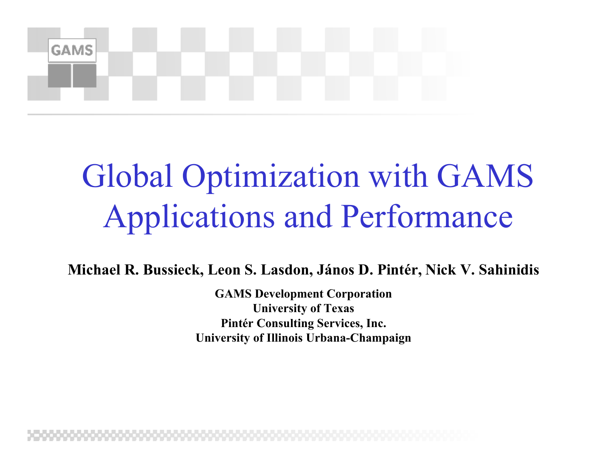

#### Global Optimization with GAMS Applications and Performance

**Michael R. Bussieck, Leon S. Lasdon, János D. Pintér, Nick V. Sahinidis**

**GAMS Development Corporation University of Texas Pintér Consulting Services, Inc. University of Illinois Urbana-Champaign**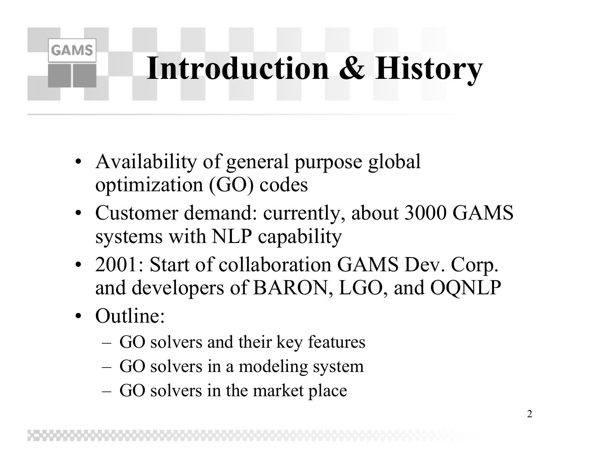### **Introduction & History**

- Availability of general purpose global optimization (GO) codes
- Customer demand: currently, about 3000 GAMS systems with NLP capability
- 2001: Start of collaboration GAMS Dev. Corp. and developers of BARON, LGO, and OQNLP
- Outline:

- –GO solvers and their key features
- –GO solvers in a modeling system
- –GO solvers in the market place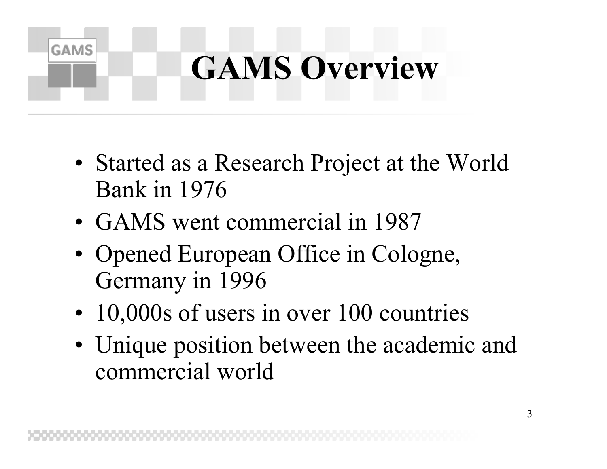### **GAMS Overview**

- Started as a Research Project at the World Bank in 1976
- GAMS went commercial in 1987

- Opened European Office in Cologne, Germany in 1996
- 10,000s of users in over 100 countries
- Unique position between the academic and commercial world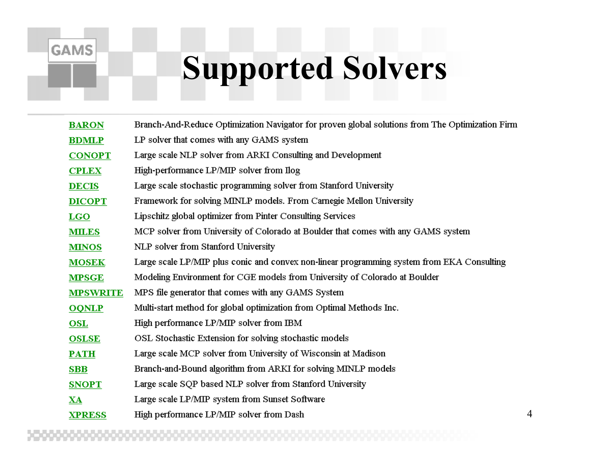#### **Supported Solvers**

| <b>BARON</b>    | Branch-And-Reduce Optimization Navigator for proven global solutions from The Optimization Firm |
|-----------------|-------------------------------------------------------------------------------------------------|
| <b>BDMLP</b>    | LP solver that comes with any GAMS system                                                       |
| <b>CONOPT</b>   | Large scale NLP solver from ARKI Consulting and Development                                     |
| <b>CPLEX</b>    | High-performance LP/MIP solver from Ilog                                                        |
| <b>DECIS</b>    | Large scale stochastic programming solver from Stanford University                              |
| <b>DICOPT</b>   | Framework for solving MINLP models. From Carnegie Mellon University                             |
| <b>LGO</b>      | Lipschitz global optimizer from Pinter Consulting Services                                      |
| <b>MILES</b>    | MCP solver from University of Colorado at Boulder that comes with any GAMS system               |
| <b>MINOS</b>    | NLP solver from Stanford University                                                             |
| <b>MOSEK</b>    | Large scale LP/MIP plus conic and convex non-linear programming system from EKA Consulting      |
| <b>MPSGE</b>    | Modeling Environment for CGE models from University of Colorado at Boulder                      |
| <b>MPSWRITE</b> | MPS file generator that comes with any GAMS System                                              |
| <b>OQNLP</b>    | Multi-start method for global optimization from Optimal Methods Inc.                            |
| <b>OSL</b>      | High performance LP/MIP solver from IBM                                                         |
| <b>OSLSE</b>    | OSL Stochastic Extension for solving stochastic models                                          |
| $PATH$          | Large scale MCP solver from University of Wisconsin at Madison                                  |
| <b>SBB</b>      | Branch-and-Bound algorithm from ARKI for solving MINLP models                                   |
| <b>SNOPT</b>    | Large scale SQP based NLP solver from Stanford University                                       |
| XA              | Large scale LP/MIP system from Sunset Software                                                  |
| <b>XPRESS</b>   | High performance LP/MIP solver from Dash                                                        |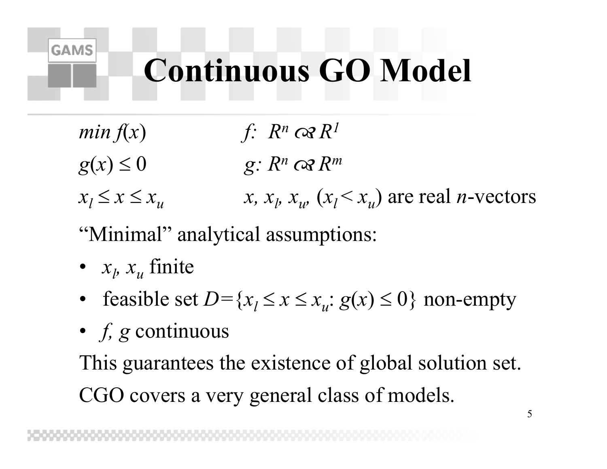#### **Continuous GO Model**

- *min*  $f(x)$  *f:*  $R^n$   $\alpha R^1$  $g(x) \leq 0$  *g:*  $R^n$  *cx*  $R^m$
- $x_l \leq x \leq x_u$ *x*,  $x_i$ ,  $x_u$ ,  $(x_i < x_u)$  are real *n*-vectors
- "Minimal" analytical assumptions:
- $x_l$ ,  $x_u$  finite

**GAMS** 

- feasible set  $D = \{x_l \le x \le x_u : g(x) \le 0\}$  non-empty
- *f, g* continuous

This guarantees the existence of global solution set. CGO covers a very general class of models.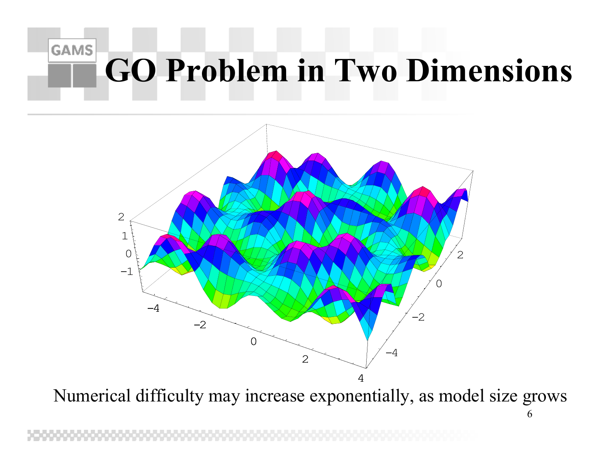#### **GAMS GO Problem in Two Dimensions**



Numerical difficulty may increase exponentially, as model size grows

<sup>6</sup>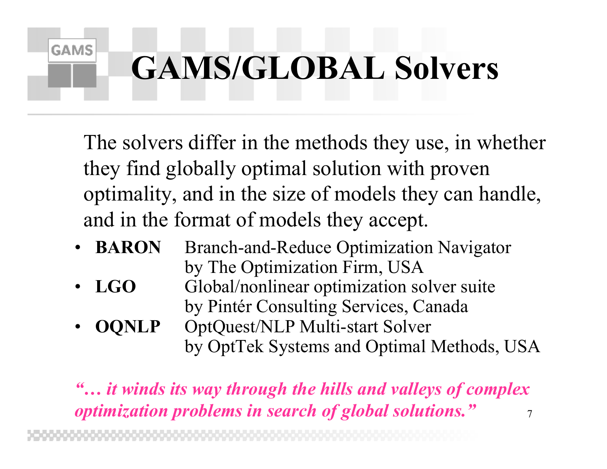### **GAMS/GLOBAL Solvers**

**GAMS** 

The solvers differ in the methods they use, in whether they find globally optimal solution with proven optimality, and in the size of models they can handle, and in the format of models they accept.

- **BARON** Branch-and-Reduce Optimization Navigator by The Optimization Firm, USA
- • **LGO** Global/nonlinear optimization solver suite by Pintér Consulting Services, Canada
- • **OQNLP** OptQuest/NLP Multi-start Solver by OptTek Systems and Optimal Methods, USA

7*"… it winds its way through the hills and valleys of complex optimization problems in search of global solutions."*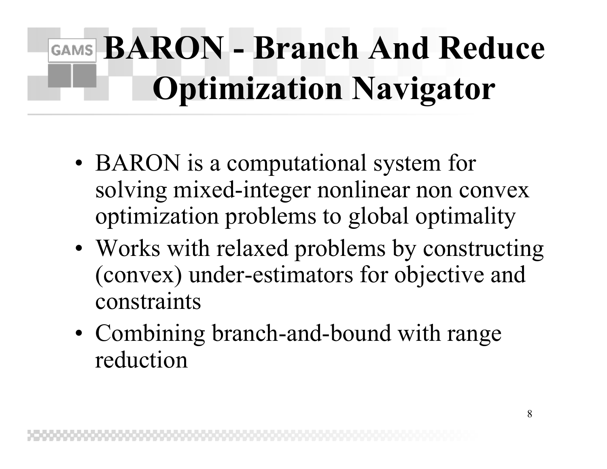### GAMS **BARON** - **Branch** And Reduce **Optimization Navigator**

- BARON is a computational system for solving mixed-integer nonlinear non convex optimization problems to global optimality
- Works with relaxed problems by constructing (convex) under-estimators for objective and constraints
- Combining branch-and-bound with range reduction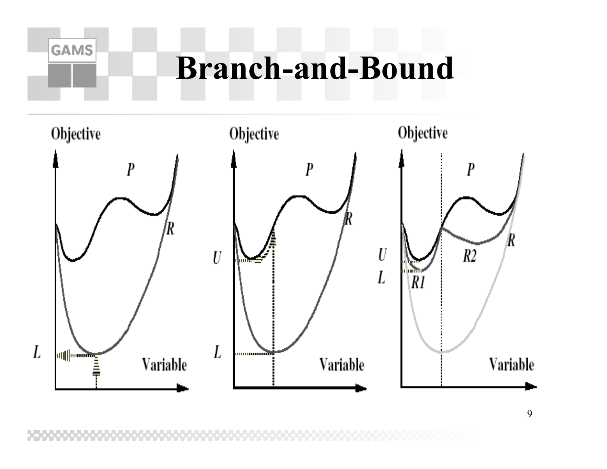#### **Branch-and-Bound**

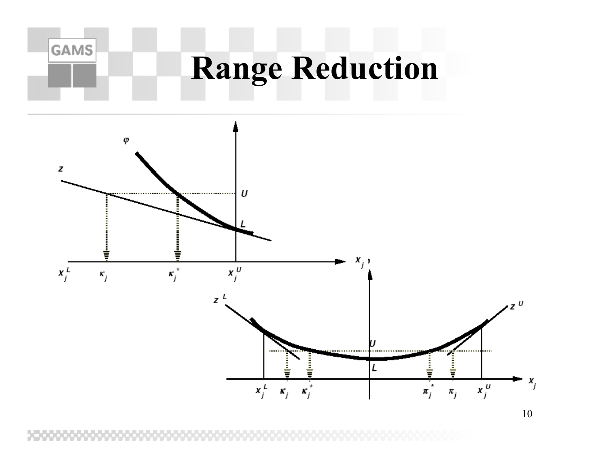

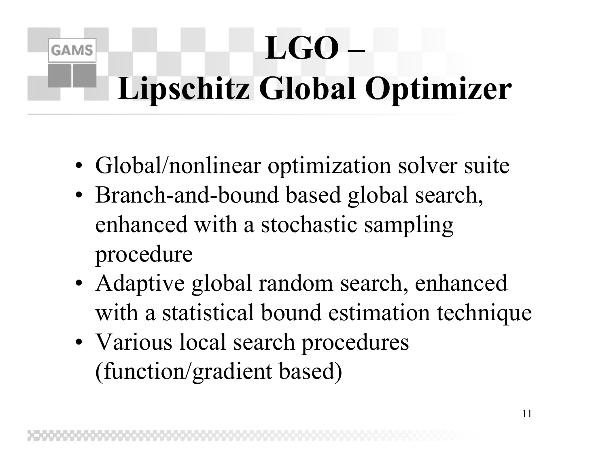### **LGO – Lipschitz Global Optimizer**

- Global/nonlinear optimization solver suite
- Branch-and-bound based global search, enhanced with a stochastic sampling procedure
- Adaptive global random search, enhanced with a statistical bound estimation technique
- Various local search procedures (function/gradient based)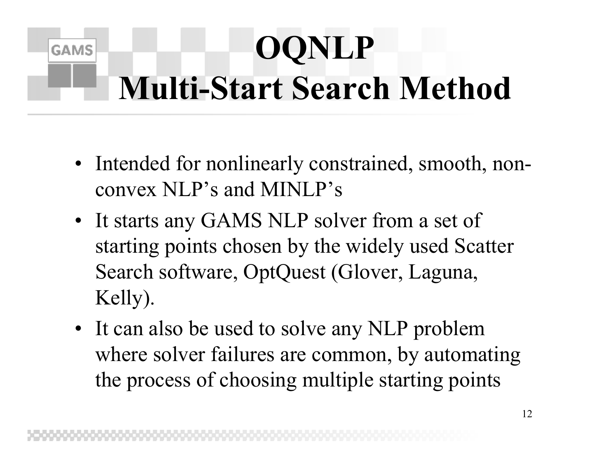### **OQNLP Multi-Start Search Method**

- Intended for nonlinearly constrained, smooth, nonconvex NLP's and MINLP's
- It starts any GAMS NLP solver from a set of starting points chosen by the widely used Scatter Search software, OptQuest (Glover, Laguna, Kelly).
- It can also be used to solve any NLP problem where solver failures are common, by automating the process of choosing multiple starting points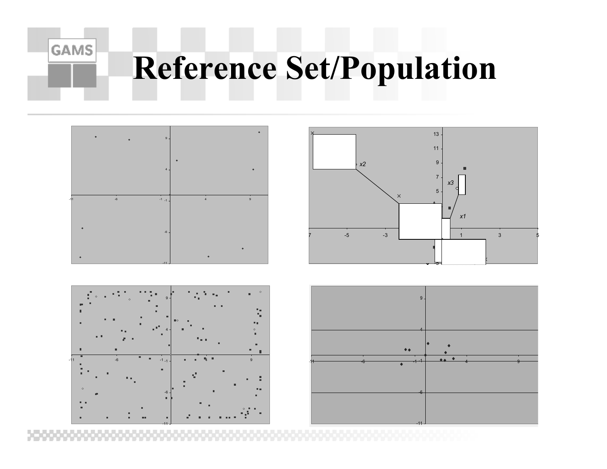### **Reference Set/Population**







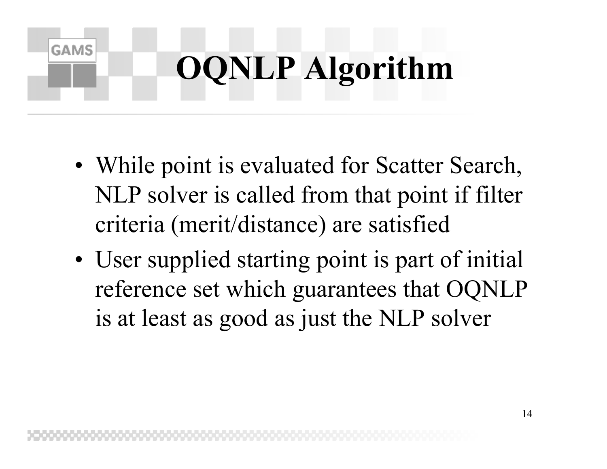# **OQNLP Algorithm**

- While point is evaluated for Scatter Search, NLP solver is called from that point if filter criteria (merit/distance) are satisfied
- User supplied starting point is part of initial reference set which guarantees that OQNLP is at least as good as just the NLP solver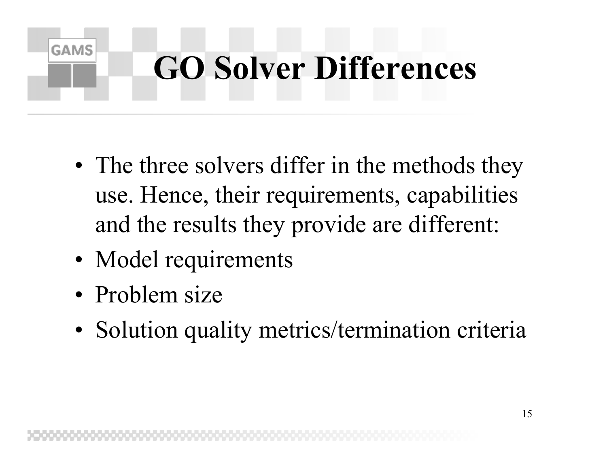### **GO Solver Differences**

- The three solvers differ in the methods they use. Hence, their requirements, capabilities and the results they provide are different:
- Model requirements
- Problem size

**GAMS** 

• Solution quality metrics/termination criteria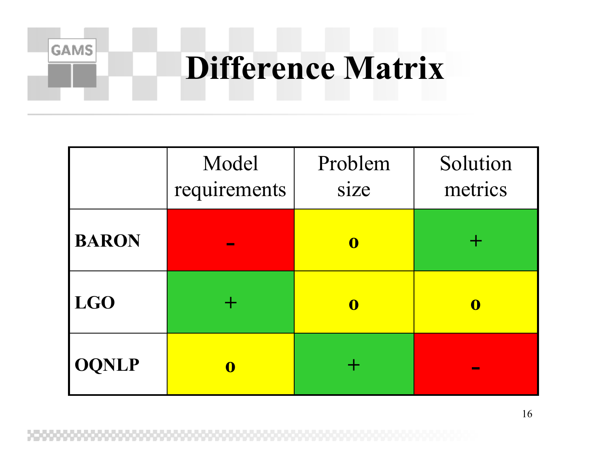#### **Difference Matrix**

|              | Model<br>requirements | Problem<br>size | Solution<br>metrics |
|--------------|-----------------------|-----------------|---------------------|
| <b>BARON</b> |                       | $\mathbf 0$     |                     |
| <b>LGO</b>   |                       | $\mathbf 0$     | $\mathbf 0$         |
| <b>OQNLP</b> | $\mathbf 0$           |                 |                     |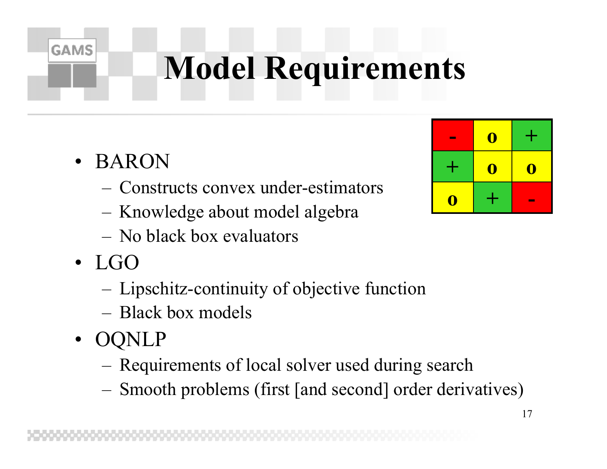### **Model Requirements**

• BARON

- Constructs convex under-estimators
- –Knowledge about model algebra
- No black box evaluators
- LGO
	- –Lipschitz-continuity of objective function
	- Black box models
- OQNLP
	- –Requirements of local solver used during search
	- Smooth problems (first [and second] order derivatives)

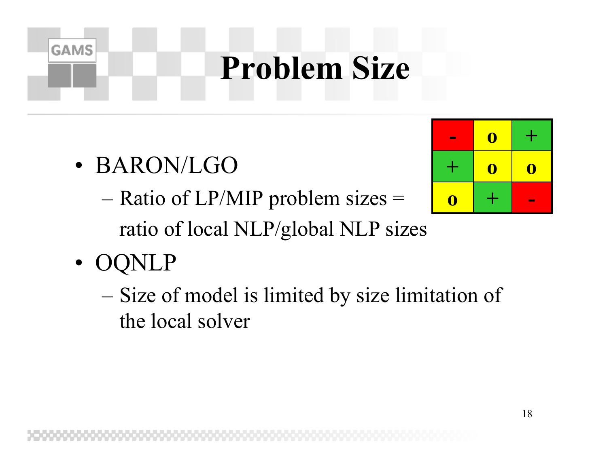#### **Problem Size**

- BARON/LGO
	- $-$  Ratio of LP/MIP problem sizes = ratio of local NLP/global NLP sizes
- •OQNLP

**GAMS** 

 $-$  Size of model is limited by size limitation of the local solver

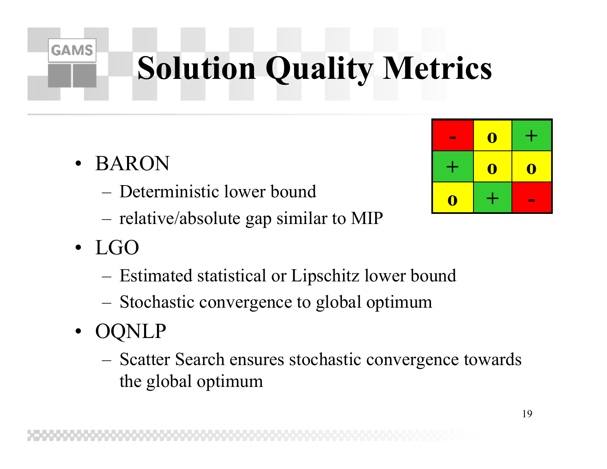## **Solution Quality Metrics**

• BARON

- Deterministic lower bound
- –relative/absolute gap similar to MIP
- LGO
	- –Estimated statistical or Lipschitz lower bound
	- –Stochastic convergence to global optimum
- OQNLP
	- – Scatter Search ensures stochastic convergence towards the global optimum

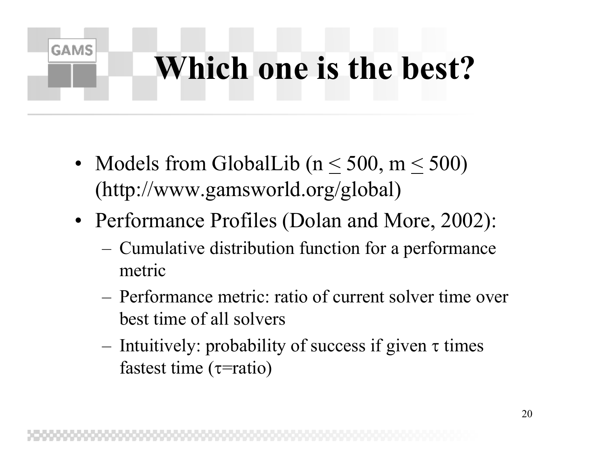#### **Which one is the best?**

• Models from GlobalLib ( $n \leq 500$ ,  $m \leq 500$ ) (http://www.gamsworld.org/global)

- Performance Profiles (Dolan and More, 2002):
	- – Cumulative distribution function for a performance metric
	- Performance metric: ratio of current solver time over best time of all solvers
	- – Intuitively: probability of success if given τ times fastest time ( τ=ratio)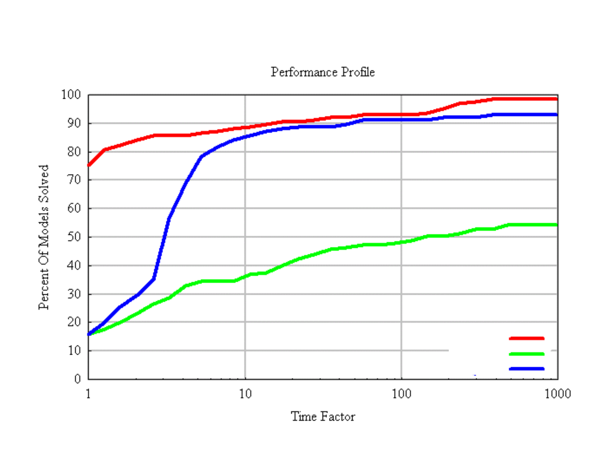Performance Profile



Time Factor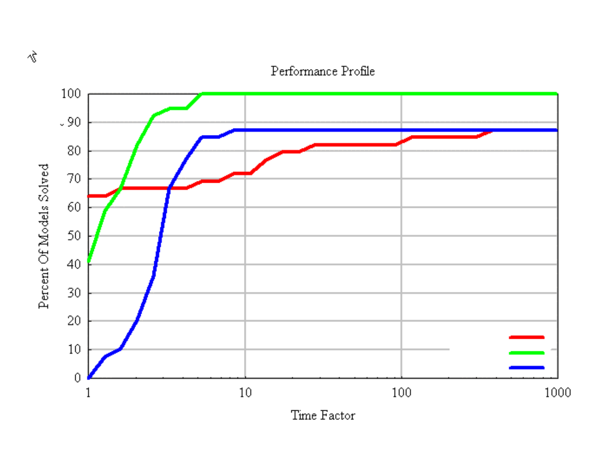$\hat{\delta}$ 

#### Performance Profile



Time Factor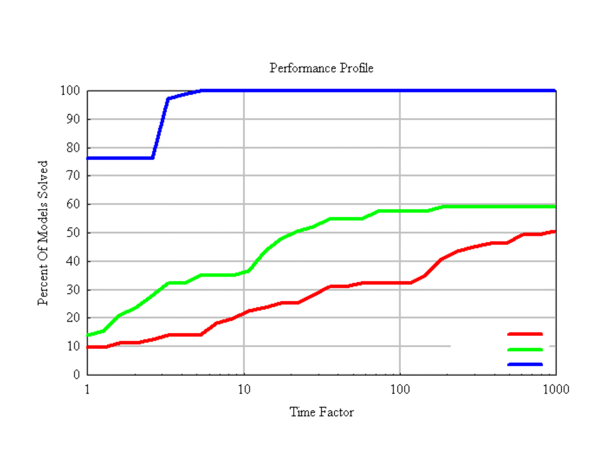Performance Profile



Time Factor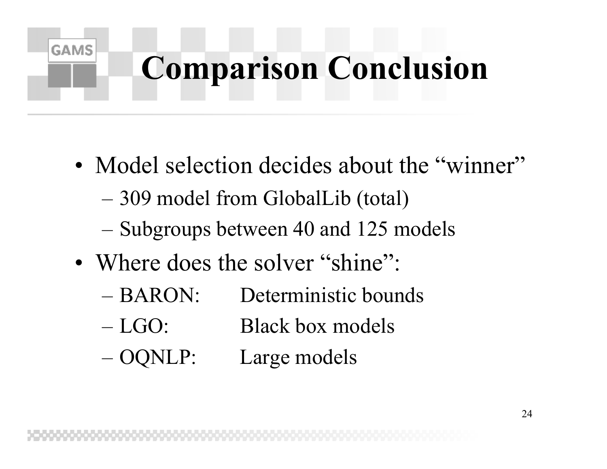### **Comparison Conclusion**

- Model selection decides about the "winner"
	- $-$ 309 model from GlobalLib (total)
	- –Subgroups between 40 and 125 models
- Where does the solver "shine":

- BARON: Deterministic bounds
- $-LGO:$ Black box models
- –Large models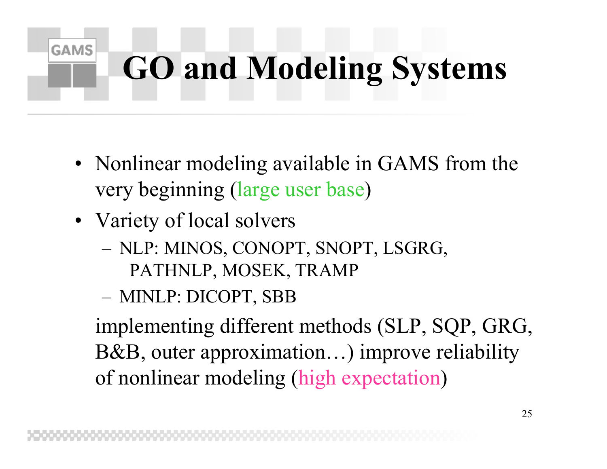## **GO and Modeling Systems**

- Nonlinear modeling available in GAMS from the very beginning (large user base )
- Variety of local solvers

**GAMS** 

- – NLP: MINOS, CONOPT, SNOPT, LSGRG, PATHNLP, MOSEK, TRAMP
- –MINLP: DICOPT, SBB

implementing different methods (SLP, SQP, GRG, B&B, outer approximation…) improve reliability of nonlinear modeling (high expectation )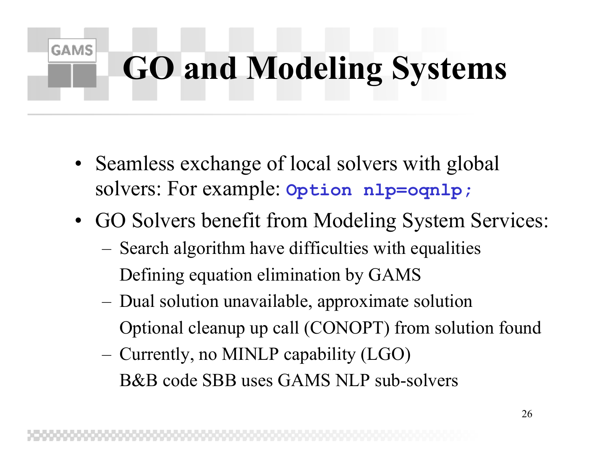### **GO and Modeling Systems**

• Seamless exchange of local solvers with global solvers: For example: **Option nlp=oqnlp;**

- GO Solvers benefit from Modeling System Services:
	- – Search algorithm have difficulties with equalities Defining equation elimination by GAMS
	- – Dual solution unavailable, approximate solution Optional cleanup up call (CONOPT) from solution found
	- – Currently, no MINLP capability (LGO) B&B code SBB uses GAMS NLP sub-solvers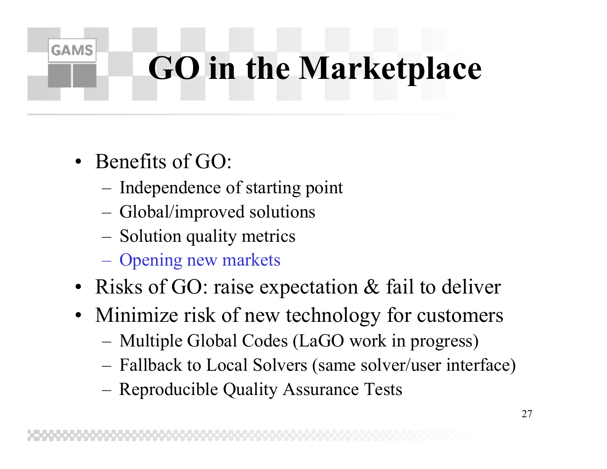### **GO in the Marketplace**

• Benefits of GO:

- –Independence of starting point
- –Global/improved solutions
- –Solution quality metrics
- –Opening new markets
- Risks of GO: raise expectation & fail to deliver
- Minimize risk of new technology for customers
	- –Multiple Global Codes (LaGO work in progress)
	- –Fallback to Local Solvers (same solver/user interface)
	- Reproducible Quality Assurance Tests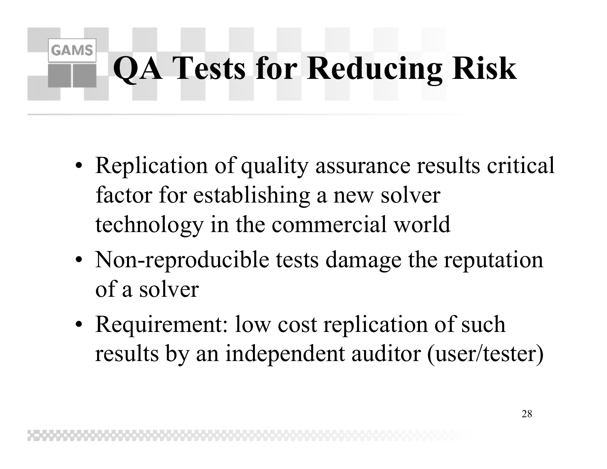#### **GAMS QA Tests for Reducing Risk**

- Replication of quality assurance results critical factor for establishing a new solver technology in the commercial world
- Non-reproducible tests damage the reputation of a solver
- Requirement: low cost replication of such results by an independent auditor (user/tester)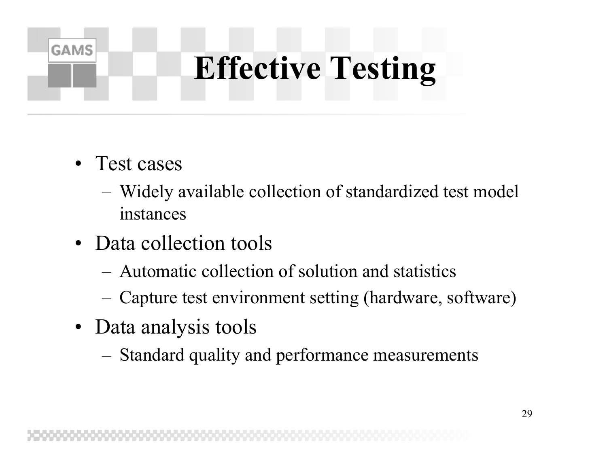### **Effective Testing**

• Test cases

- – Widely available collection of standardized test model instances
- Data collection tools
	- Automatic collection of solution and statistics
	- –Capture test environment setting (hardware, software)
- Data analysis tools
	- –Standard quality and performance measurements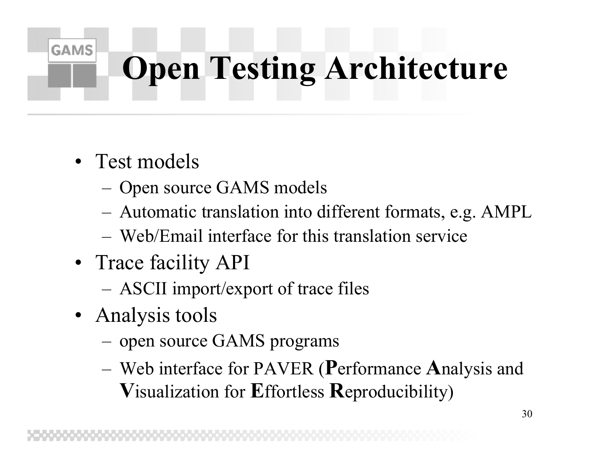### **Open Testing Architecture**

• Test models

- –Open source GAMS models
- –Automatic translation into different formats, e.g. AMPL
- Web/Email interface for this translation service
- Trace facility API
	- –ASCII import/export of trace files
- Analysis tools
	- –open source GAMS programs
	- – Web interface for PAVER ( **P**erformance **A**nalysis and **V**isualization for **E**ffortless **R**eproducibility)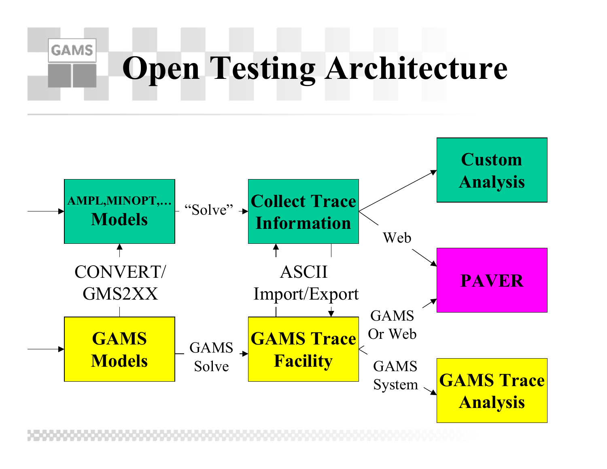# **Open Testing Architecture**

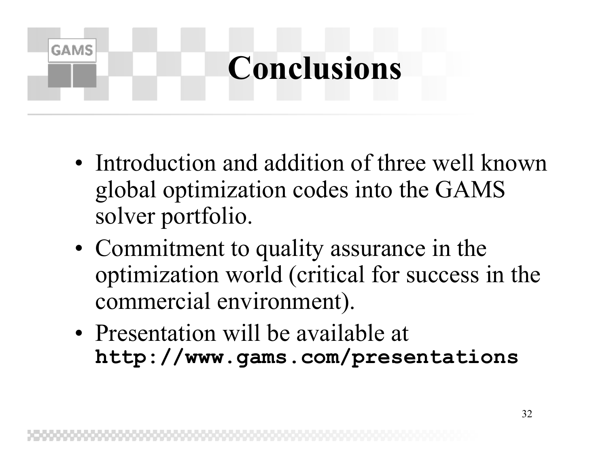#### **Conclusions**

- Introduction and addition of three well known global optimization codes into the GAMS solver portfolio.
- Commitment to quality assurance in the optimization world (critical for success in the commercial environment).
- Presentation will be available at **http://www.gams.com/presentations**